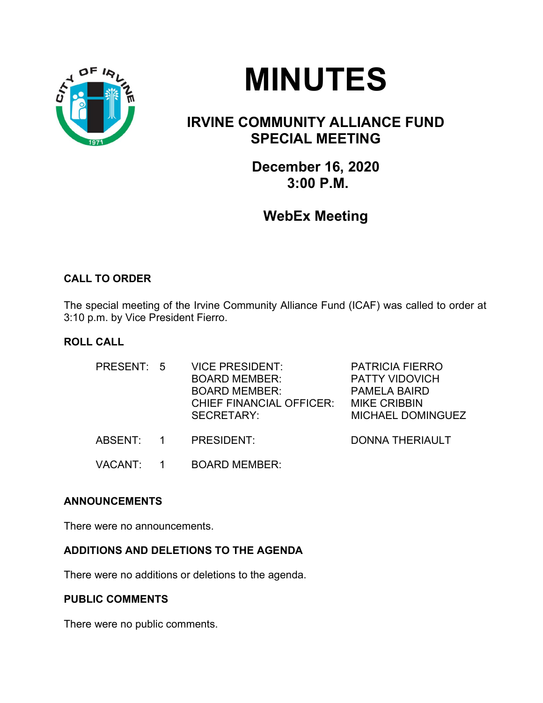



# IRVINE COMMUNITY ALLIANCE FUND SPECIAL MEETING

December 16, 2020 3:00 P.M.

## WebEx Meeting

## CALL TO ORDER

The special meeting of the Irvine Community Alliance Fund (ICAF) was called to order at 3:10 p.m. by Vice President Fierro.

## ROLL CALL

| PRESENT: 5     | <b>VICE PRESIDENT:</b><br><b>BOARD MEMBER:</b><br><b>BOARD MEMBER:</b><br><b>CHIEF FINANCIAL OFFICER:</b><br>SECRETARY: | <b>PATRICIA FIERRO</b><br><b>PATTY VIDOVICH</b><br><b>PAMELA BAIRD</b><br><b>MIKE CRIBBIN</b><br><b>MICHAEL DOMINGUEZ</b> |
|----------------|-------------------------------------------------------------------------------------------------------------------------|---------------------------------------------------------------------------------------------------------------------------|
| ABSENT: 1      | PRESIDENT:                                                                                                              | <b>DONNA THERIAULT</b>                                                                                                    |
| <b>VACANT:</b> | <b>BOARD MEMBER:</b>                                                                                                    |                                                                                                                           |

## ANNOUNCEMENTS

There were no announcements.

#### ADDITIONS AND DELETIONS TO THE AGENDA

There were no additions or deletions to the agenda.

#### PUBLIC COMMENTS

There were no public comments.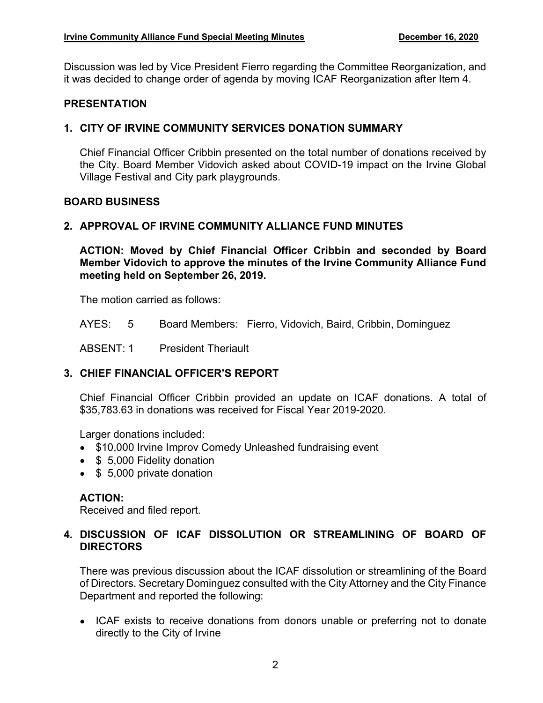Discussion was led by Vice President Fierro regarding the Committee Reorganization, and it was decided to change order of agenda by moving ICAF Reorganization after Item 4.

#### PRESENTATION

### 1. CITY OF IRVINE COMMUNITY SERVICES DONATION SUMMARY

Chief Financial Officer Cribbin presented on the total number of donations received by the City. Board Member Vidovich asked about COVID-19 impact on the Irvine Global Village Festival and City park playgrounds.

#### BOARD BUSINESS

#### 2. APPROVAL OF IRVINE COMMUNITY ALLIANCE FUND MINUTES

ACTION: Moved by Chief Financial Officer Cribbin and seconded by Board Member Vidovich to approve the minutes of the Irvine Community Alliance Fund meeting held on September 26, 2019.

The motion carried as follows:

AYES: 5 Board Members: Fierro, Vidovich, Baird, Cribbin, Dominguez

ABSENT: 1 President Theriault

## 3. CHIEF FINANCIAL OFFICER'S REPORT

Chief Financial Officer Cribbin provided an update on ICAF donations. A total of \$35,783.63 in donations was received for Fiscal Year 2019-2020.

Larger donations included:

- \$10,000 Irvine Improv Comedy Unleashed fundraising event
- **\$ 5,000 Fidelity donation**
- \$ 5,000 private donation

## ACTION:

Received and filed report.

#### 4. DISCUSSION OF ICAF DISSOLUTION OR STREAMLINING OF BOARD OF **DIRECTORS**

There was previous discussion about the ICAF dissolution or streamlining of the Board of Directors. Secretary Dominguez consulted with the City Attorney and the City Finance Department and reported the following:

• ICAF exists to receive donations from donors unable or preferring not to donate directly to the City of Irvine